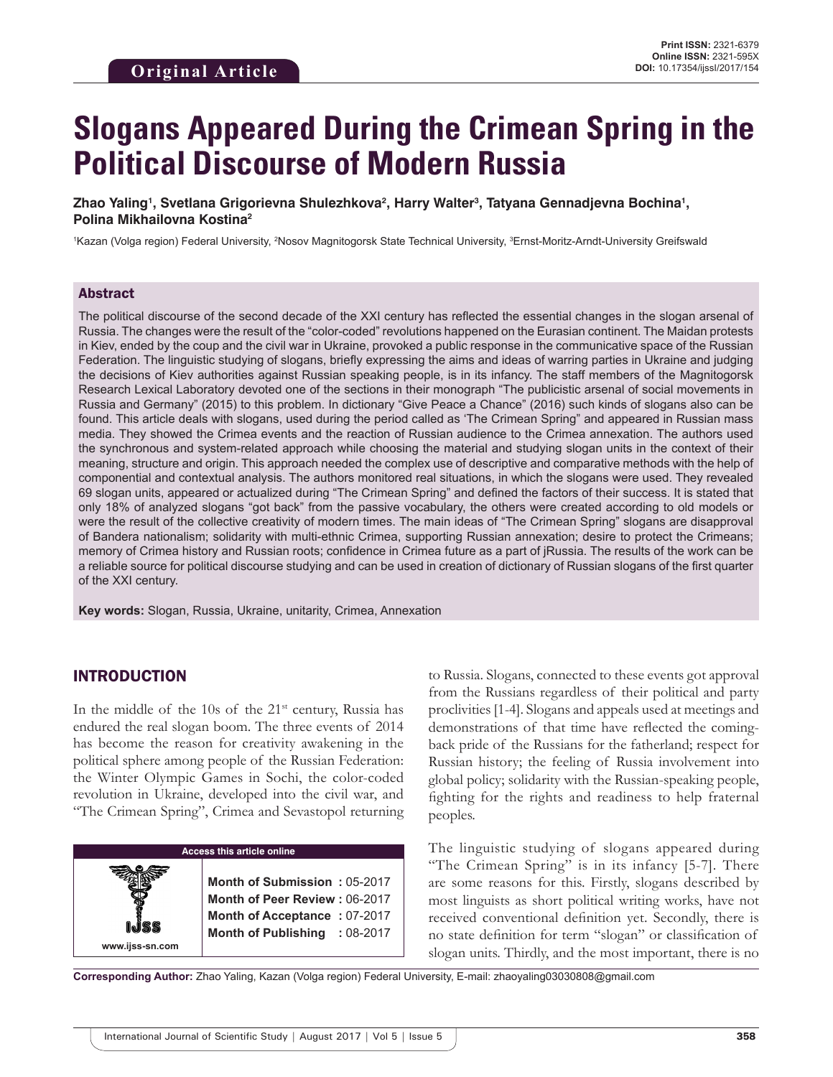# **Slogans Appeared During the Crimean Spring in the Political Discourse of Modern Russia**

Zhao Yaling', Svetlana Grigorievna Shulezhkova<sup>2</sup>, Harry Walter<sup>3</sup>, Tatyana Gennadjevna Bochina', **Polina Mikhailovna Kostina2**

1Kazan (Volga region) Federal University, <sup>2</sup>Nosov Magnitogorsk State Technical University, <sup>3</sup>Ernst-Moritz-Arndt-University Greifswald

#### Abstract

The political discourse of the second decade of the XXI century has reflected the essential changes in the slogan arsenal of Russia. The changes were the result of the "color-coded" revolutions happened on the Eurasian continent. The Maidan protests in Kiev, ended by the coup and the civil war in Ukraine, provoked a public response in the communicative space of the Russian Federation. The linguistic studying of slogans, briefly expressing the aims and ideas of warring parties in Ukraine and judging the decisions of Kiev authorities against Russian speaking people, is in its infancy. The staff members of the Magnitogorsk Research Lexical Laboratory devoted one of the sections in their monograph "The publicistic arsenal of social movements in Russia and Germany" (2015) to this problem. In dictionary "Give Peace a Chance" (2016) such kinds of slogans also can be found. This article deals with slogans, used during the period called as 'The Crimean Spring" and appeared in Russian mass media. They showed the Crimea events and the reaction of Russian audience to the Crimea annexation. The authors used the synchronous and system-related approach while choosing the material and studying slogan units in the context of their meaning, structure and origin. This approach needed the complex use of descriptive and comparative methods with the help of componential and contextual analysis. The authors monitored real situations, in which the slogans were used. They revealed 69 slogan units, appeared or actualized during "The Crimean Spring" and defined the factors of their success. It is stated that only 18% of analyzed slogans "got back" from the passive vocabulary, the others were created according to old models or were the result of the collective creativity of modern times. The main ideas of "The Crimean Spring" slogans are disapproval of Bandera nationalism; solidarity with multi-ethnic Crimea, supporting Russian annexation; desire to protect the Crimeans; memory of Crimea history and Russian roots; confidence in Crimea future as a part of jRussia. The results of the work can be a reliable source for political discourse studying and can be used in creation of dictionary of Russian slogans of the first quarter of the XXI century.

**Key words:** Slogan, Russia, Ukraine, unitarity, Crimea, Annexation

#### INTRODUCTION

In the middle of the  $10s$  of the  $21st$  century, Russia has endured the real slogan boom. The three events of 2014 has become the reason for creativity awakening in the political sphere among people of the Russian Federation: the Winter Olympic Games in Sochi, the color-coded revolution in Ukraine, developed into the civil war, and "The Crimean Spring", Crimea and Sevastopol returning

**Access this article online www.ijss-sn.com Month of Submission :** 05-2017 **Month of Peer Review :** 06-2017 **Month of Acceptance :** 07-2017 **Month of Publishing :** 08-2017 to Russia. Slogans, connected to these events got approval from the Russians regardless of their political and party proclivities [1-4]. Slogans and appeals used at meetings and demonstrations of that time have reflected the comingback pride of the Russians for the fatherland; respect for Russian history; the feeling of Russia involvement into global policy; solidarity with the Russian-speaking people, fighting for the rights and readiness to help fraternal peoples.

The linguistic studying of slogans appeared during "The Crimean Spring" is in its infancy [5-7]. There are some reasons for this. Firstly, slogans described by most linguists as short political writing works, have not received conventional definition yet. Secondly, there is no state definition for term "slogan" or classification of slogan units. Thirdly, and the most important, there is no

**Corresponding Author:** Zhao Yaling, Kazan (Volga region) Federal University, E-mail: zhaoyaling03030808@gmail.com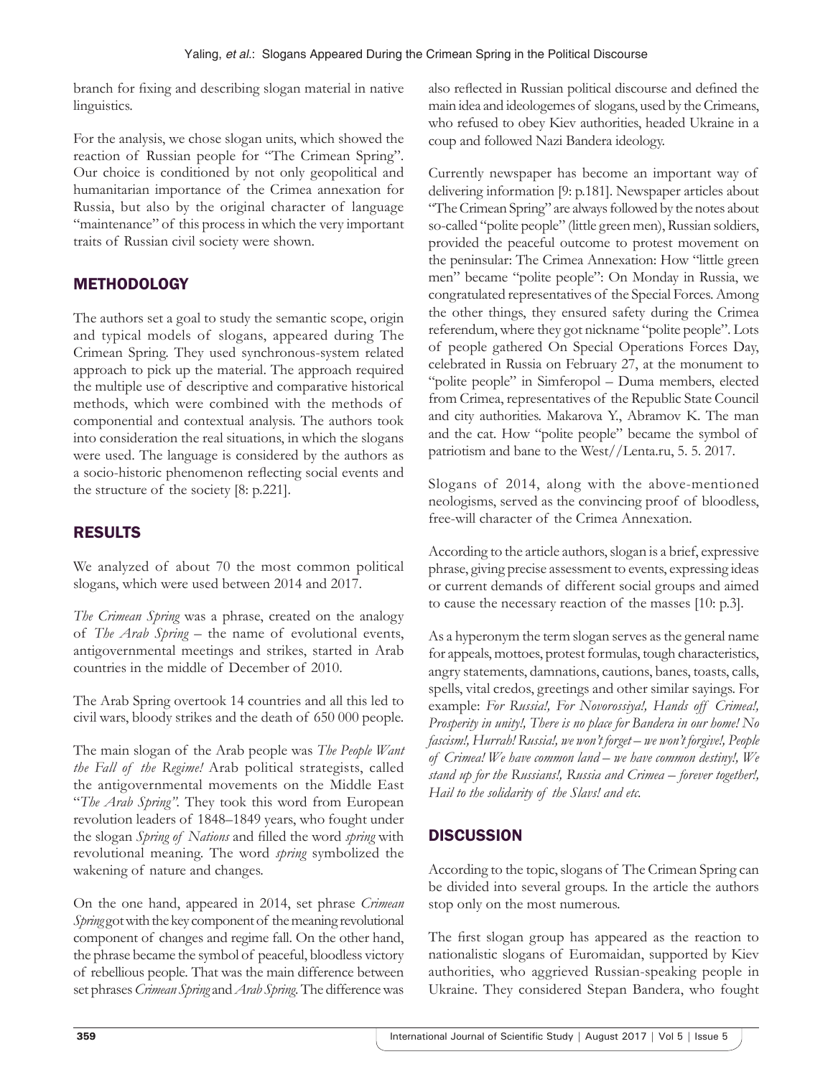branch for fixing and describing slogan material in native linguistics.

For the analysis, we chose slogan units, which showed the reaction of Russian people for "The Crimean Spring". Our choice is conditioned by not only geopolitical and humanitarian importance of the Crimea annexation for Russia, but also by the original character of language "maintenance" of this process in which the very important traits of Russian civil society were shown.

## **METHODOLOGY**

The authors set a goal to study the semantic scope, origin and typical models of slogans, appeared during The Crimean Spring. They used synchronous-system related approach to pick up the material. The approach required the multiple use of descriptive and comparative historical methods, which were combined with the methods of componential and contextual analysis. The authors took into consideration the real situations, in which the slogans were used. The language is considered by the authors as a socio-historic phenomenon reflecting social events and the structure of the society [8: p.221].

## RESULTS

We analyzed of about 70 the most common political slogans, which were used between 2014 and 2017.

*The Crimean Spring* was a phrase, created on the analogy of *The Arab Spring* – the name of evolutional events, antigovernmental meetings and strikes, started in Arab countries in the middle of December of 2010.

The Arab Spring overtook 14 countries and all this led to civil wars, bloody strikes and the death of 650 000 people.

The main slogan of the Arab people was *The People Want the Fall of the Regime!* Arab political strategists, called the antigovernmental movements on the Middle East "*The Arab Spring".* They took this word from European revolution leaders of 1848–1849 years, who fought under the slogan *Spring of Nations* and filled the word *spring* with revolutional meaning. The word *spring* symbolized the wakening of nature and changes.

On the one hand, appeared in 2014, set phrase *Crimean Spring* got with the key component of the meaning revolutional component of changes and regime fall. On the other hand, the phrase became the symbol of peaceful, bloodless victory of rebellious people. That was the main difference between set phrases*Crimean Spring* and*Arab Spring.*The difference was also reflected in Russian political discourse and defined the main idea and ideologemes of slogans, used by the Crimeans, who refused to obey Kiev authorities, headed Ukraine in a coup and followed Nazi Bandera ideology.

Currently newspaper has become an important way of delivering information [9: p.181]. Newspaper articles about "The Crimean Spring" are always followed by the notes about so-called "polite people" (little green men), Russian soldiers, provided the peaceful outcome to protest movement on the peninsular: The Crimea Annexation: How "little green men" became "polite people": On Monday in Russia, we congratulated representatives of the Special Forces. Among the other things, they ensured safety during the Crimea referendum, where they got nickname "polite people". Lots of people gathered On Special Operations Forces Day, celebrated in Russia on February 27, at the monument to "polite people" in Simferopol – Duma members, elected from Crimea, representatives of the Republic State Council and city authorities. Makarova Y., Abramov K. The man and the cat. How "polite people" became the symbol of patriotism and bane to the West//Lenta.ru, 5. 5. 2017.

Slogans of 2014, along with the above-mentioned neologisms, served as the convincing proof of bloodless, free-will character of the Crimea Annexation.

According to the article authors, slogan is a brief, expressive phrase, giving precise assessment to events, expressing ideas or current demands of different social groups and aimed to cause the necessary reaction of the masses [10: p.3].

As a hyperonym the term slogan serves as the general name for appeals, mottoes, protest formulas, tough characteristics, angry statements, damnations, cautions, banes, toasts, calls, spells, vital credos, greetings and other similar sayings. For example: *For Russia!, For Novorossiya!, Hands off Crimea!, Prosperity in unity!, There is no place for Bandera in our home! No fascism!, Hurrah! Russia!, we won't forget – we won't forgive!, People of Crimea! We have common land – we have common destiny!, We stand up for the Russians!, Russia and Crimea – forever together!, Hail to the solidarity of the Slavs! and etc.*

# **DISCUSSION**

According to the topic, slogans of The Crimean Spring can be divided into several groups. In the article the authors stop only on the most numerous.

The first slogan group has appeared as the reaction to nationalistic slogans of Euromaidan, supported by Kiev authorities, who aggrieved Russian-speaking people in Ukraine. They considered Stepan Bandera, who fought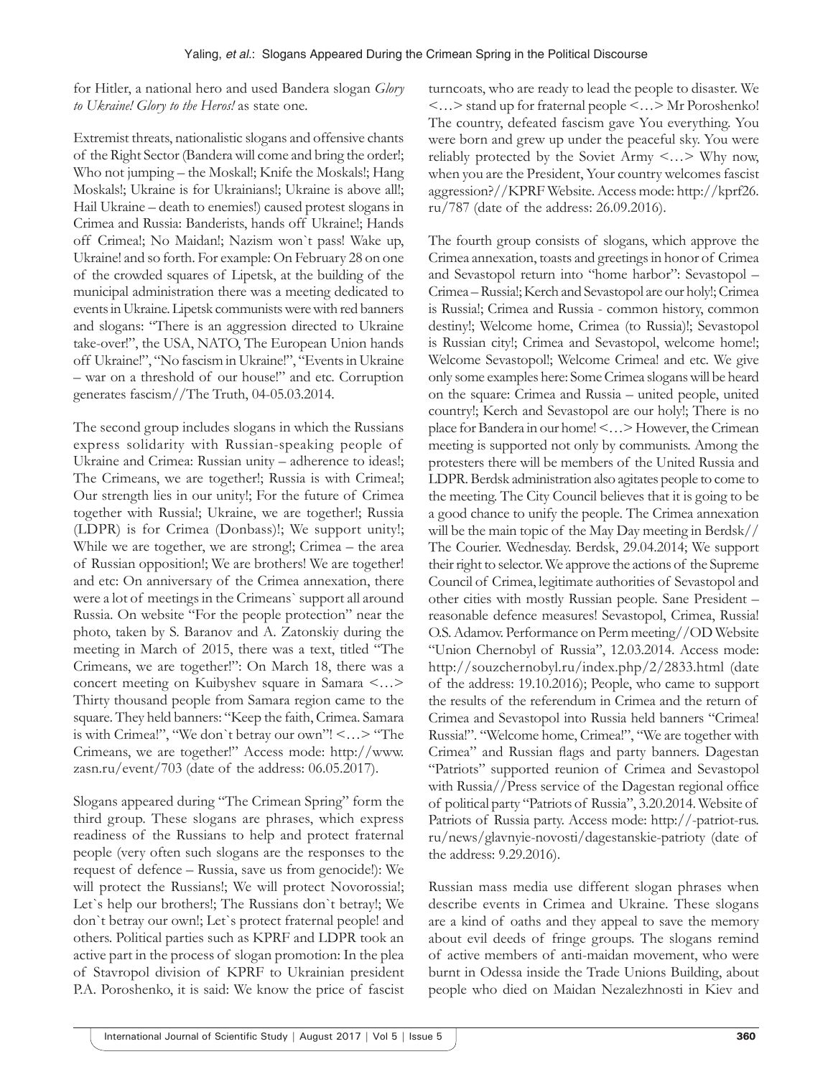for Hitler, a national hero and used Bandera slogan *Glory to Ukraine! Glory to the Heros!* as state one.

Extremist threats, nationalistic slogans and offensive chants of the Right Sector (Bandera will come and bring the order!; Who not jumping – the Moskal!; Knife the Moskals!; Hang Moskals!; Ukraine is for Ukrainians!; Ukraine is above all!; Hail Ukraine – death to enemies!) caused protest slogans in Crimea and Russia: Banderists, hands off Ukraine!; Hands off Crimea!; No Maidan!; Nazism won`t pass! Wake up, Ukraine! and so forth. For example: On February 28 on one of the crowded squares of Lipetsk, at the building of the municipal administration there was a meeting dedicated to events in Ukraine. Lipetsk communists were with red banners and slogans: "There is an aggression directed to Ukraine take-over!", the USA, NATO, The European Union hands off Ukraine!", "No fascism in Ukraine!", "Events in Ukraine – war on a threshold of our house!" and etc. Corruption generates fascism//The Truth, 04-05.03.2014.

The second group includes slogans in which the Russians express solidarity with Russian-speaking people of Ukraine and Crimea: Russian unity – adherence to ideas!; The Crimeans, we are together!; Russia is with Crimea!; Our strength lies in our unity!; For the future of Crimea together with Russia!; Ukraine, we are together!; Russia (LDPR) is for Crimea (Donbass)!; We support unity!; While we are together, we are strong!; Crimea – the area of Russian opposition!; We are brothers! We are together! and etc: On anniversary of the Crimea annexation, there were a lot of meetings in the Crimeans` support all around Russia. On website "For the people protection" near the photo, taken by S. Baranov and A. Zatonskiy during the meeting in March of 2015, there was a text, titled "The Crimeans, we are together!": On March 18, there was a concert meeting on Kuibyshev square in Samara <…> Thirty thousand people from Samara region came to the square. They held banners: "Keep the faith, Crimea. Samara is with Crimea!", "We don`t betray our own"! <…> "The Crimeans, we are together!" Access mode: http://www. zasn.ru/event/703 (date of the address: 06.05.2017).

Slogans appeared during "The Crimean Spring" form the third group. These slogans are phrases, which express readiness of the Russians to help and protect fraternal people (very often such slogans are the responses to the request of defence – Russia, save us from genocide!): We will protect the Russians!; We will protect Novorossia!; Let`s help our brothers!; The Russians don`t betray!; We don`t betray our own!; Let`s protect fraternal people! and others. Political parties such as KPRF and LDPR took an active part in the process of slogan promotion: In the plea of Stavropol division of KPRF to Ukrainian president P.A. Poroshenko, it is said: We know the price of fascist

turncoats, who are ready to lead the people to disaster. We <…> stand up for fraternal people <…> Mr Poroshenko! The country, defeated fascism gave You everything. You were born and grew up under the peaceful sky. You were reliably protected by the Soviet Army <…> Why now, when you are the President, Your country welcomes fascist aggression?//KPRF Website. Access mode: http://kprf26. ru/787 (date of the address: 26.09.2016).

The fourth group consists of slogans, which approve the Crimea annexation, toasts and greetings in honor of Crimea and Sevastopol return into "home harbor": Sevastopol – Crimea – Russia!; Kerch and Sevastopol are our holy!; Crimea is Russia!; Crimea and Russia - common history, common destiny!; Welcome home, Crimea (to Russia)!; Sevastopol is Russian city!; Crimea and Sevastopol, welcome home!; Welcome Sevastopol!; Welcome Crimea! and etc. We give only some examples here: Some Crimea slogans will be heard on the square: Crimea and Russia – united people, united country!; Kerch and Sevastopol are our holy!; There is no place for Bandera in our home!<…> However, the Crimean meeting is supported not only by communists. Among the protesters there will be members of the United Russia and LDPR. Berdsk administration also agitates people to come to the meeting. The City Council believes that it is going to be a good chance to unify the people. The Crimea annexation will be the main topic of the May Day meeting in Berdsk// The Courier. Wednesday. Berdsk, 29.04.2014; We support their right to selector. We approve the actions of the Supreme Council of Crimea, legitimate authorities of Sevastopol and other cities with mostly Russian people. Sane President – reasonable defence measures! Sevastopol, Crimea, Russia! O.S.Adamov. Performance on Perm meeting//OD Website "Union Chernobyl of Russia", 12.03.2014. Access mode: http://souzchernobyl.ru/index.php/2/2833.html (date of the address: 19.10.2016); People, who came to support the results of the referendum in Crimea and the return of Crimea and Sevastopol into Russia held banners "Crimea! Russia!". "Welcome home, Crimea!", "We are together with Crimea" and Russian flags and party banners. Dagestan "Patriots" supported reunion of Crimea and Sevastopol with Russia//Press service of the Dagestan regional office of political party "Patriots of Russia", 3.20.2014. Website of Patriots of Russia party. Access mode: http://-patriot-rus. ru/news/glavnyie-novosti/dagestanskie-patrioty (date of the address: 9.29.2016).

Russian mass media use different slogan phrases when describe events in Crimea and Ukraine. These slogans are a kind of oaths and they appeal to save the memory about evil deeds of fringe groups. The slogans remind of active members of anti-maidan movement, who were burnt in Odessa inside the Trade Unions Building, about people who died on Maidan Nezalezhnosti in Kiev and